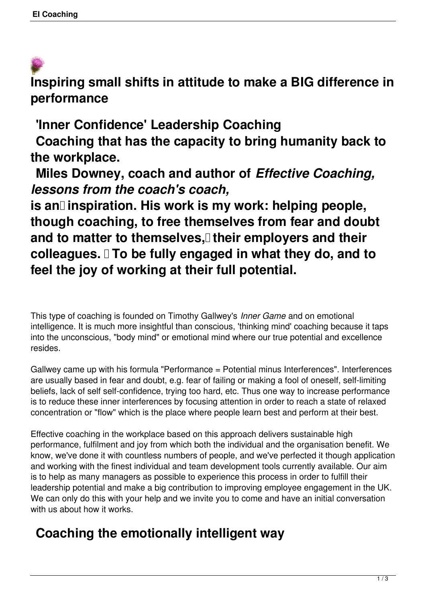**Inspiring small shifts in attitude to make a BIG difference in performance** 

**'Inner Confidence' Leadership Coaching**

 **Coaching that has the capacity to bring humanity back to the workplace.**

 **Miles Downey, coach and author of** *Effective Coaching, lessons from the coach's coach,*

is an<sup>[]</sup> inspiration. His work is my work: helping people, **though coaching, to free themselves from fear and doubt** and to matter to themselves, their employers and their **colleagues. To be fully engaged in what they do, and to feel the joy of working at their full potential.** 

This type of coaching is founded on Timothy Gallwey's *Inner Game* and on emotional intelligence. It is much more insightful than conscious, 'thinking mind' coaching because it taps into the unconscious, "body mind" or emotional mind where our true potential and excellence resides.

Gallwey came up with his formula "Performance = Potential minus Interferences". Interferences are usually based in fear and doubt, e.g. fear of failing or making a fool of oneself, self-limiting beliefs, lack of self self-confidence, trying too hard, etc. Thus one way to increase performance is to reduce these inner interferences by focusing attention in order to reach a state of relaxed concentration or "flow" which is the place where people learn best and perform at their best.

Effective coaching in the workplace based on this approach delivers sustainable high performance, fulfilment and joy from which both the individual and the organisation benefit. We know, we've done it with countless numbers of people, and we've perfected it though application and working with the finest individual and team development tools currently available. Our aim is to help as many managers as possible to experience this process in order to fulfill their leadership potential and make a big contribution to improving employee engagement in the UK. We can only do this with your help and we invite you to come and have an initial conversation with us about how it works.

## **Coaching the emotionally intelligent way**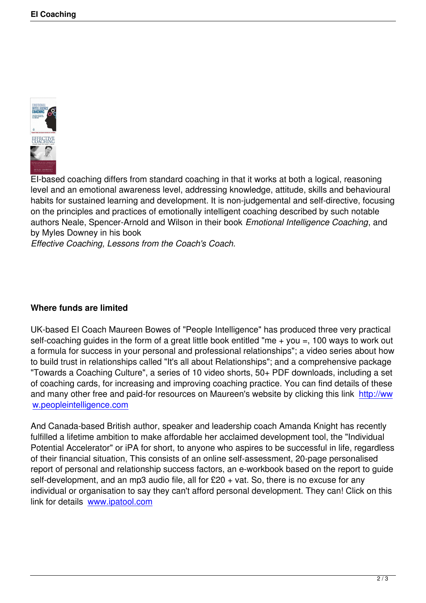

EI-based coaching differs from standard coaching in that it works at both a logical, reasoning level and an emotional awareness level, addressing knowledge, attitude, skills and behavioural habits for sustained learning and development. It is non-judgemental and self-directive, focusing on the principles and practices of emotionally intelligent coaching described by such notable authors Neale, Spencer-Arnold and Wilson in their book *Emotional Intelligence Coaching*, and by Myles Downey in his book

*Effective Coaching, Lessons from the Coach's Coach.*

## **Where funds are limited**

UK-based EI Coach Maureen Bowes of "People Intelligence" has produced three very practical self-coaching guides in the form of a great little book entitled "me  $+$  you  $=$ , 100 ways to work out a formula for success in your personal and professional relationships"; a video series about how to build trust in relationships called "It's all about Relationships"; and a comprehensive package "Towards a Coaching Culture", a series of 10 video shorts, 50+ PDF downloads, including a set of coaching cards, for increasing and improving coaching practice. You can find details of these and many other free and paid-for resources on Maureen's website by clicking this link http://ww w.peopleintelligence.com

And Canada-based British author, speaker and leadership coach Amanda Knight has [recently](http://www.peopleintelligence.com) [fulfilled a lifetime ambition](http://www.peopleintelligence.com) to make affordable her acclaimed development tool, the "Individual Potential Accelerator" or iPA for short, to anyone who aspires to be successful in life, regardless of their financial situation, This consists of an online self-assessment, 20-page personalised report of personal and relationship success factors, an e-workbook based on the report to guide self-development, and an mp3 audio file, all for £20 + vat. So, there is no excuse for any individual or organisation to say they can't afford personal development. They can! Click on this link for details www.ipatool.com